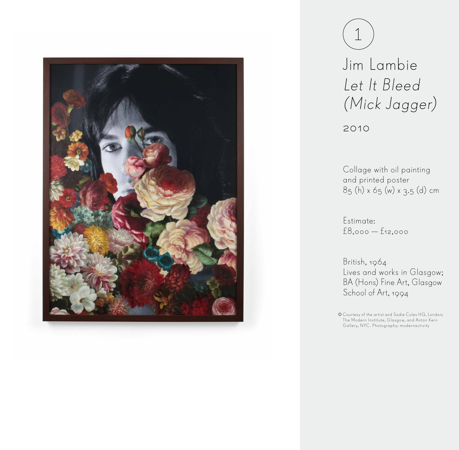

1

Jim Lambie Let It Bleed (Mick Jagger)

2010

Collage with oil painting and printed poster 85 (h) x 65 (w) x 3.5 (d) cm

Estimate: £8,000 — £12,000

British, 1964 Lives and works in Glasgow; BA (Hons) Fine Art, Glasgow School of Art, 1994

Courtesy of the artist and Sadie Coles HQ, London; The Modern Institute, Glasgow, and Anton Kern Gallery, NYC. Photography: modernactivity